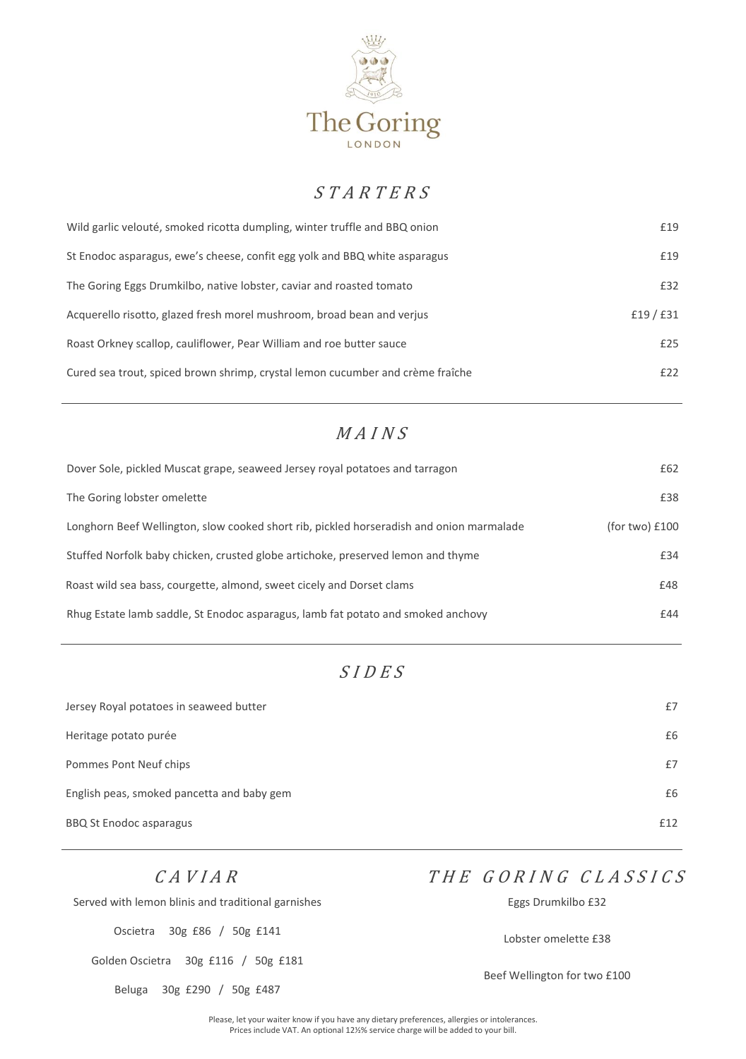

### $S T A R T E R S$

| Wild garlic velouté, smoked ricotta dumpling, winter truffle and BBQ onion     | £19     |
|--------------------------------------------------------------------------------|---------|
| St Enodoc asparagus, ewe's cheese, confit egg yolk and BBQ white asparagus     | £19     |
| The Goring Eggs Drumkilbo, native lobster, caviar and roasted tomato           | £32     |
| Acquerello risotto, glazed fresh morel mushroom, broad bean and verjus         | £19/£31 |
| Roast Orkney scallop, cauliflower, Pear William and roe butter sauce           | £25     |
| Cured sea trout, spiced brown shrimp, crystal lemon cucumber and crème fraîche | £22     |

### $MAINS$

| Dover Sole, pickled Muscat grape, seaweed Jersey royal potatoes and tarragon             | £62              |
|------------------------------------------------------------------------------------------|------------------|
| The Goring lobster omelette                                                              | £38              |
| Longhorn Beef Wellington, slow cooked short rib, pickled horseradish and onion marmalade | (for two) $£100$ |
| Stuffed Norfolk baby chicken, crusted globe artichoke, preserved lemon and thyme         | £34              |
| Roast wild sea bass, courgette, almond, sweet cicely and Dorset clams                    | £48              |
| Rhug Estate lamb saddle, St Enodoc asparagus, lamb fat potato and smoked anchovy         | £44              |

# <sup>S</sup> <sup>I</sup> <sup>D</sup> <sup>E</sup> <sup>S</sup>

| Jersey Royal potatoes in seaweed butter    | £7  |
|--------------------------------------------|-----|
| Heritage potato purée                      | £6  |
| Pommes Pont Neuf chips                     | £7  |
| English peas, smoked pancetta and baby gem | £6  |
| <b>BBQ St Enodoc asparagus</b>             | £12 |

#### $CA V I A R$

# THE GORING CLASSICS

| Served with lemon blinis and traditional garnishes | Eggs Drumkilbo £32           |
|----------------------------------------------------|------------------------------|
| 30g £86 / 50g £141<br>Oscietra                     | Lobster omelette £38         |
| Golden Oscietra 30g £116 / 50g £181                | Beef Wellington for two £100 |
| 30g £290 / 50g £487<br>Beluga                      |                              |

Please, let your waiter know if you have any dietary preferences, allergies or intolerances. Prices include VAT. An optional 12½% service charge will be added to your bill.